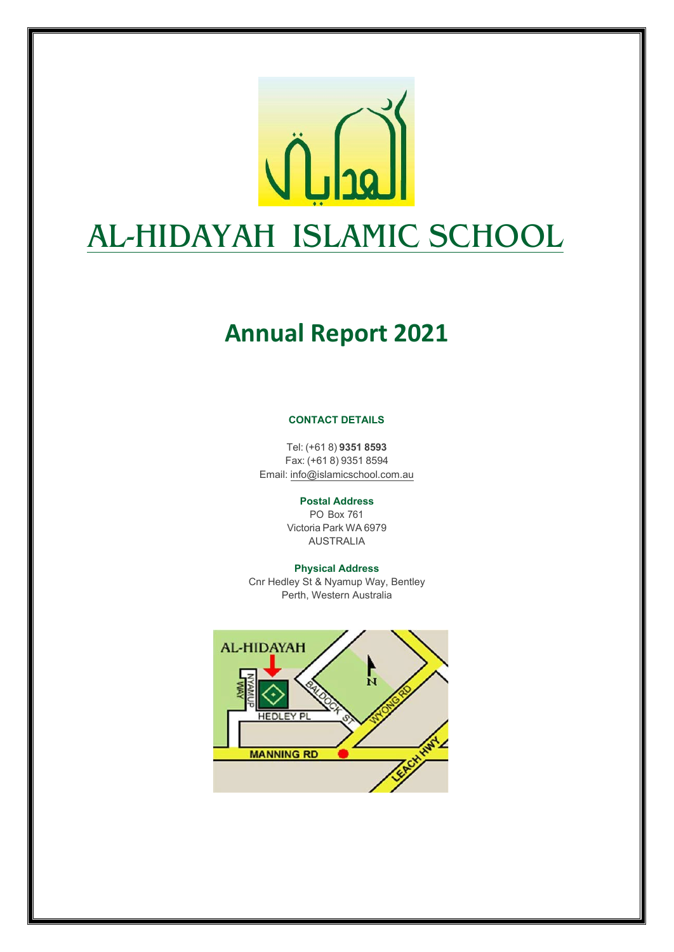

# **Annual Report 2021**

#### **CONTACT DETAILS**

Tel: (+61 8) **9351 8593** Fax: (+61 8) 9351 8594 Email: [info@islamicschool.com.au](mailto:info@islamicschool.com.au)

**Postal Address**

PO Box 761 Victoria Park WA 6979 AUSTRALIA

#### **Physical Address**

Cnr Hedley St & Nyamup Way, Bentley Perth, Western Australia

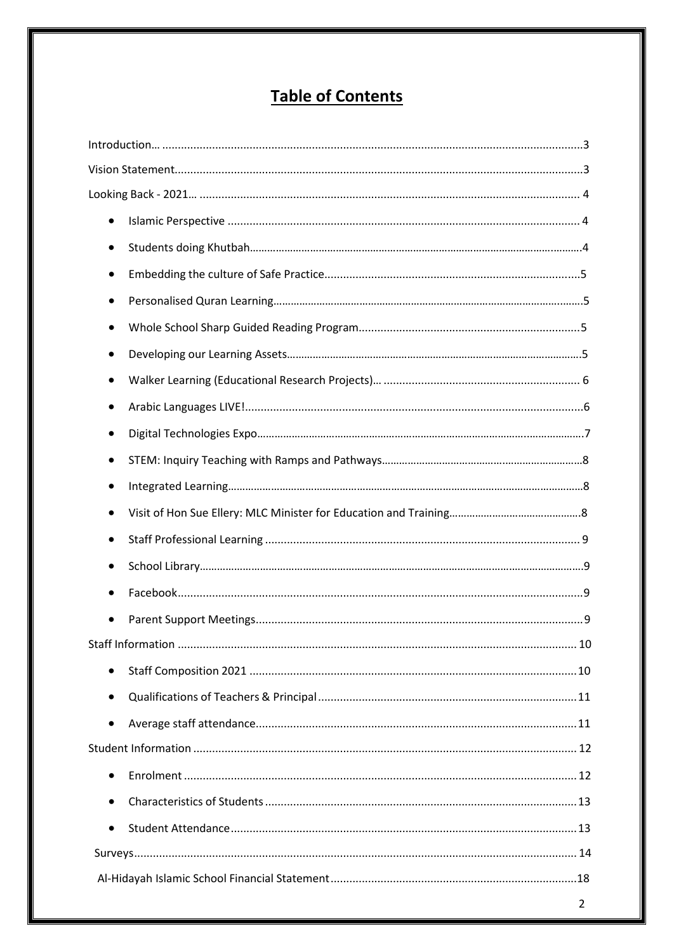# **Table of Contents**

| $\bullet$ |  |
|-----------|--|
|           |  |
|           |  |
|           |  |
|           |  |
|           |  |
|           |  |
|           |  |
|           |  |
|           |  |
|           |  |
|           |  |
|           |  |
|           |  |
|           |  |
|           |  |
|           |  |
| $\bullet$ |  |
| $\bullet$ |  |
| $\bullet$ |  |
|           |  |
| $\bullet$ |  |
| $\bullet$ |  |
| $\bullet$ |  |
|           |  |
|           |  |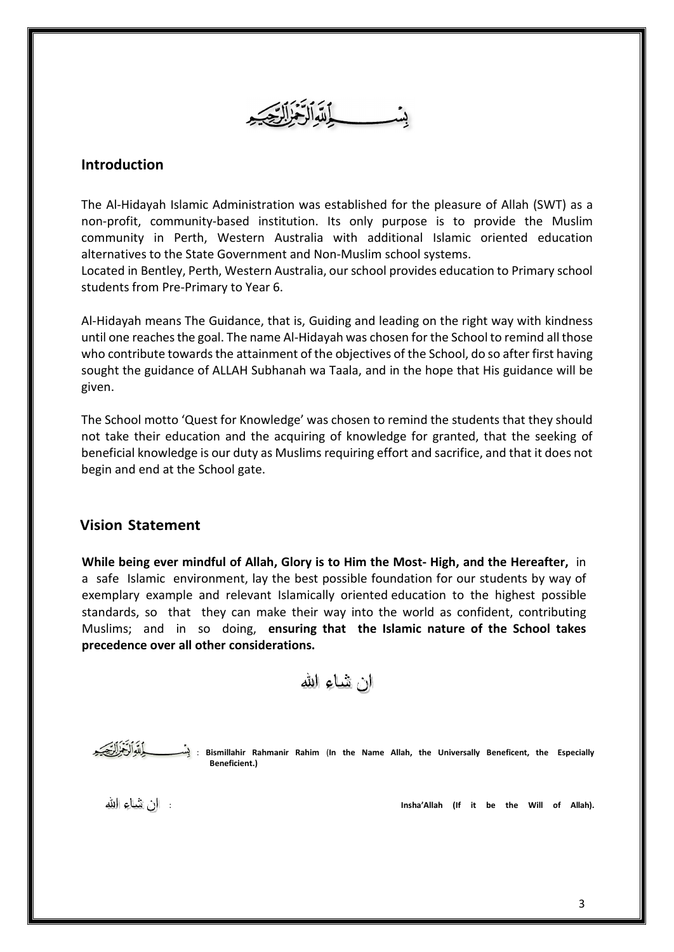

## <span id="page-2-0"></span>**Introduction**

The Al‐Hidayah Islamic Administration was established for the pleasure of Allah (SWT) as a non‐profit, community‐based institution. Its only purpose is to provide the Muslim community in Perth, Western Australia with additional Islamic oriented education alternatives to the State Government and Non‐Muslim school systems.

Located in Bentley, Perth, Western Australia, our school provides education to Primary school students from Pre‐Primary to Year 6.

Al‐Hidayah means The Guidance, that is, Guiding and leading on the right way with kindness until one reachesthe goal. The name Al‐Hidayah was chosen for the School to remind all those who contribute towards the attainment of the objectives of the School, do so after first having sought the guidance of ALLAH Subhanah wa Taala, and in the hope that His guidance will be given.

The School motto 'Quest for Knowledge' was chosen to remind the students that they should not take their education and the acquiring of knowledge for granted, that the seeking of beneficial knowledge is our duty as Muslims requiring effort and sacrifice, and that it does not begin and end at the School gate.

## **Vision Statement**

**While being ever mindful of Allah, Glory is to Him the Most- High, and the Hereafter,** in a safe Islamic environment, lay the best possible foundation for our students by way of exemplary example and relevant Islamically oriented education to the highest possible standards, so that they can make their way into the world as confident, contributing Muslims; and in so doing, **ensuring that the Islamic nature of the School takes precedence over all other considerations.**

الن تثماء الله

 : **Bismillahir Rahmanir Rahim** (**In the Name Allah, the Universally Beneficent, the Especially Beneficient.)**

: **Insha'Allah (If it be the Will of Allah).**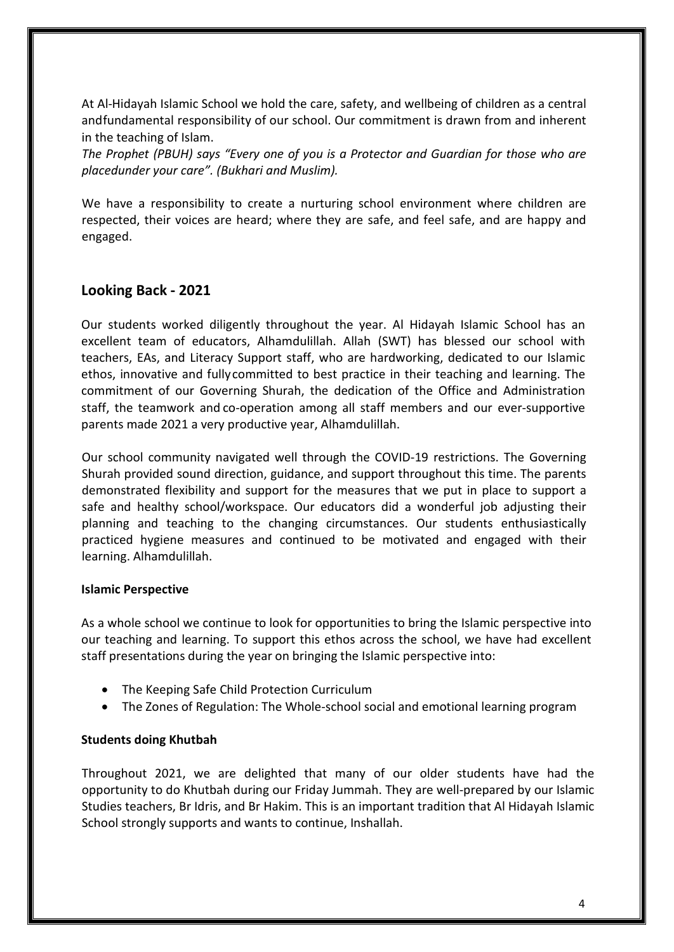At Al-Hidayah Islamic School we hold the care, safety, and wellbeing of children as a central andfundamental responsibility of our school. Our commitment is drawn from and inherent in the teaching of Islam.

*The Prophet (PBUH) says "Every one of you is a Protector and Guardian for those who are placedunder your care". (Bukhari and Muslim).*

We have a responsibility to create a nurturing school environment where children are respected, their voices are heard; where they are safe, and feel safe, and are happy and engaged.

## <span id="page-3-0"></span>**Looking Back - 2021**

Our students worked diligently throughout the year. Al Hidayah Islamic School has an excellent team of educators, Alhamdulillah. Allah (SWT) has blessed our school with teachers, EAs, and Literacy Support staff, who are hardworking, dedicated to our Islamic ethos, innovative and fullycommitted to best practice in their teaching and learning. The commitment of our Governing Shurah, the dedication of the Office and Administration staff, the teamwork and co-operation among all staff members and our ever-supportive parents made 2021 a very productive year, Alhamdulillah.

Our school community navigated well through the COVID-19 restrictions. The Governing Shurah provided sound direction, guidance, and support throughout this time. The parents demonstrated flexibility and support for the measures that we put in place to support a safe and healthy school/workspace. Our educators did a wonderful job adjusting their planning and teaching to the changing circumstances. Our students enthusiastically practiced hygiene measures and continued to be motivated and engaged with their learning. Alhamdulillah.

## <span id="page-3-1"></span>**Islamic Perspective**

As a whole school we continue to look for opportunities to bring the Islamic perspective into our teaching and learning. To support this ethos across the school, we have had excellent staff presentations during the year on bringing the Islamic perspective into:

- The Keeping Safe Child Protection Curriculum
- The Zones of Regulation: The Whole-school social and emotional learning program

## **Students doing Khutbah**

Throughout 2021, we are delighted that many of our older students have had the opportunity to do Khutbah during our Friday Jummah. They are well-prepared by our Islamic Studies teachers, Br Idris, and Br Hakim. This is an important tradition that Al Hidayah Islamic School strongly supports and wants to continue, Inshallah.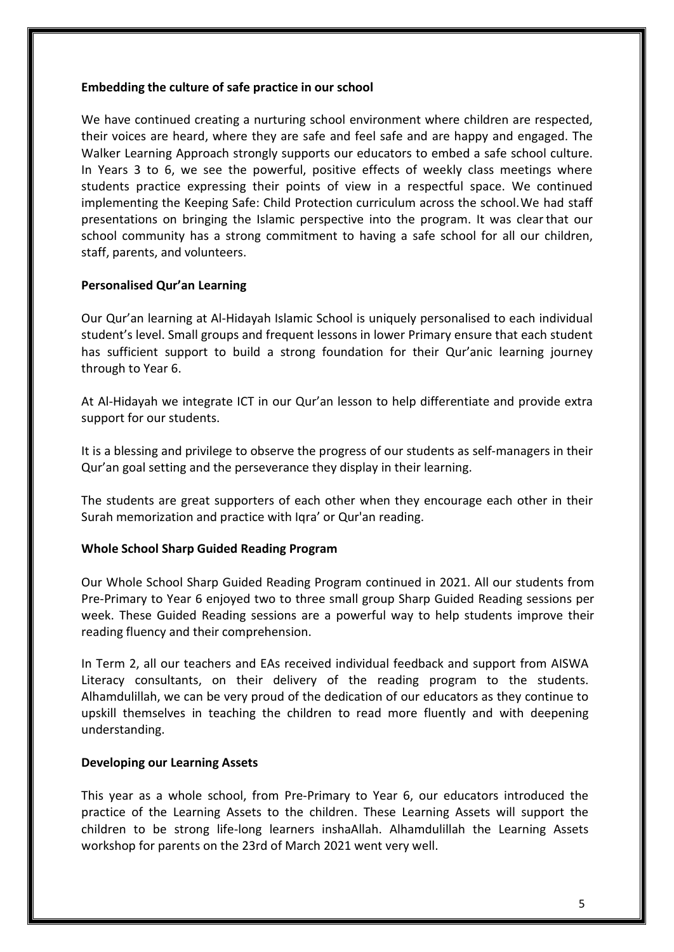## **Embedding the culture of safe practice in our school**

We have continued creating a nurturing school environment where children are respected, their voices are heard, where they are safe and feel safe and are happy and engaged. The Walker Learning Approach strongly supports our educators to embed a safe school culture. In Years 3 to 6, we see the powerful, positive effects of weekly class meetings where students practice expressing their points of view in a respectful space. We continued implementing the Keeping Safe: Child Protection curriculum across the school.We had staff presentations on bringing the Islamic perspective into the program. It was clearthat our school community has a strong commitment to having a safe school for all our children, staff, parents, and volunteers.

## **Personalised Qur'an Learning**

Our Qur'an learning at Al-Hidayah Islamic School is uniquely personalised to each individual student's level. Small groups and frequent lessons in lower Primary ensure that each student has sufficient support to build a strong foundation for their Qur'anic learning journey through to Year 6.

At Al-Hidayah we integrate ICT in our Qur'an lesson to help differentiate and provide extra support for our students.

It is a blessing and privilege to observe the progress of our students as self-managers in their Qur'an goal setting and the perseverance they display in their learning.

The students are great supporters of each other when they encourage each other in their Surah memorization and practice with Iqra' or Qur'an reading.

## <span id="page-4-0"></span>**Whole School Sharp Guided Reading Program**

Our Whole School Sharp Guided Reading Program continued in 2021. All our students from Pre‐Primary to Year 6 enjoyed two to three small group Sharp Guided Reading sessions per week. These Guided Reading sessions are a powerful way to help students improve their reading fluency and their comprehension.

In Term 2, all our teachers and EAs received individual feedback and support from AISWA Literacy consultants, on their delivery of the reading program to the students. Alhamdulillah, we can be very proud of the dedication of our educators as they continue to upskill themselves in teaching the children to read more fluently and with deepening understanding.

## **Developing our Learning Assets**

This year as a whole school, from Pre-Primary to Year 6, our educators introduced the practice of the Learning Assets to the children. These Learning Assets will support the children to be strong life-long learners inshaAllah. Alhamdulillah the Learning Assets workshop for parents on the 23rd of March 2021 went very well.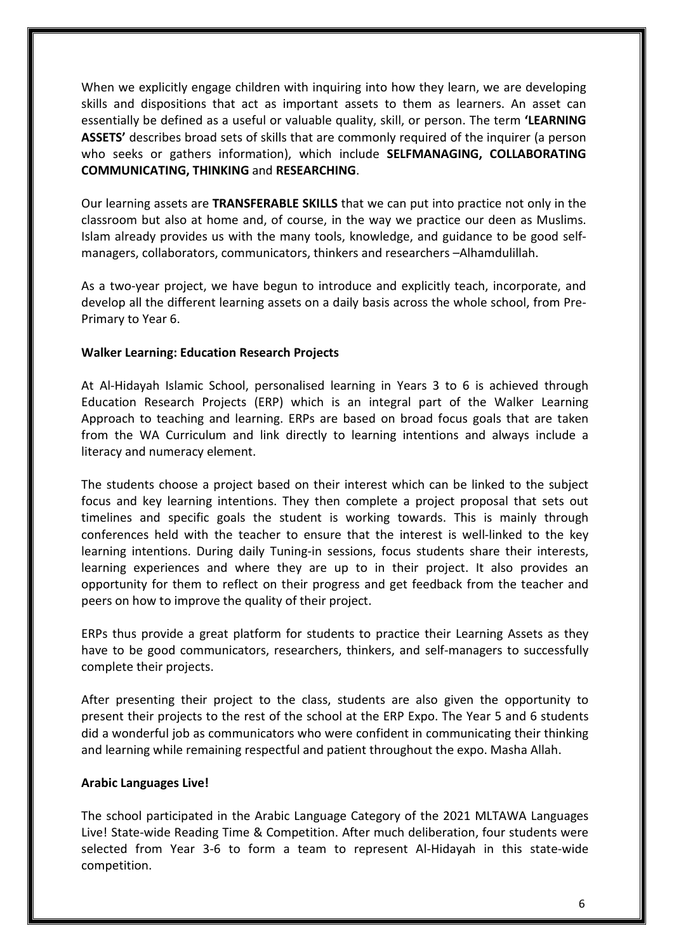When we explicitly engage children with inquiring into how they learn, we are developing skills and dispositions that act as important assets to them as learners. An asset can essentially be defined as a useful or valuable quality, skill, or person. The term **'LEARNING ASSETS'** describes broad sets of skills that are commonly required of the inquirer (a person who seeks or gathers information), which include **SELFMANAGING, COLLABORATING COMMUNICATING, THINKING** and **RESEARCHING**.

Our learning assets are **TRANSFERABLE SKILLS** that we can put into practice not only in the classroom but also at home and, of course, in the way we practice our deen as Muslims. Islam already provides us with the many tools, knowledge, and guidance to be good selfmanagers, collaborators, communicators, thinkers and researchers –Alhamdulillah.

As a two-year project, we have begun to introduce and explicitly teach, incorporate, and develop all the different learning assets on a daily basis across the whole school, from Pre-Primary to Year 6.

### **Walker Learning: Education Research Projects**

At Al-Hidayah Islamic School, personalised learning in Years 3 to 6 is achieved through Education Research Projects (ERP) which is an integral part of the Walker Learning Approach to teaching and learning. ERPs are based on broad focus goals that are taken from the WA Curriculum and link directly to learning intentions and always include a literacy and numeracy element.

The students choose a project based on their interest which can be linked to the subject focus and key learning intentions. They then complete a project proposal that sets out timelines and specific goals the student is working towards. This is mainly through conferences held with the teacher to ensure that the interest is well-linked to the key learning intentions. During daily Tuning-in sessions, focus students share their interests, learning experiences and where they are up to in their project. It also provides an opportunity for them to reflect on their progress and get feedback from the teacher and peers on how to improve the quality of their project.

ERPs thus provide a great platform for students to practice their Learning Assets as they have to be good communicators, researchers, thinkers, and self-managers to successfully complete their projects.

After presenting their project to the class, students are also given the opportunity to present their projects to the rest of the school at the ERP Expo. The Year 5 and 6 students did a wonderful job as communicators who were confident in communicating their thinking and learning while remaining respectful and patient throughout the expo. Masha Allah.

#### **Arabic Languages Live!**

The school participated in the Arabic Language Category of the 2021 MLTAWA Languages Live! State-wide Reading Time & Competition. After much deliberation, four students were selected from Year 3-6 to form a team to represent Al-Hidayah in this state-wide competition.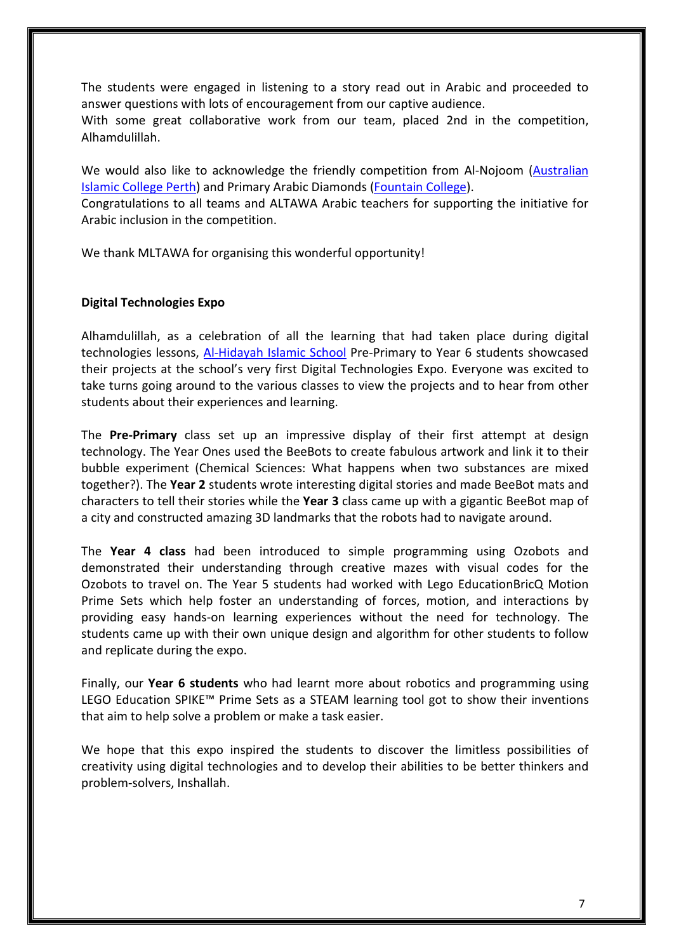The students were engaged in listening to a story read out in Arabic and proceeded to answer questions with lots of encouragement from our captive audience.

With some great collaborative work from our team, placed 2nd in the competition, Alhamdulillah.

We would also like to acknowledge the friendly competition from Al-Nojoom [\(Australian](https://www.facebook.com/australianislamiccollege/?__cft__%5b0%5d=AZVmQM47oVZfl70bCHi_0Uw8ILRX60G4YxbuDoPa0gcRVP3l4_LsY31raufJjp7BLduzivKoFww_mBIjLo2S99AzJ2vXWAPng1INg7X7zkk0eSW0woiC8s2vO6SAiIKqwxS5j7E-HHM_5MDrMR-wM-otacAr4gklCv8KoZ3o6tE2AK0zv0DC7xMIMqM8CEF2LY2sUUeXiapEmzbp5CRfrLFe&__tn__=kK-R)  [Islamic College Perth\)](https://www.facebook.com/australianislamiccollege/?__cft__%5b0%5d=AZVmQM47oVZfl70bCHi_0Uw8ILRX60G4YxbuDoPa0gcRVP3l4_LsY31raufJjp7BLduzivKoFww_mBIjLo2S99AzJ2vXWAPng1INg7X7zkk0eSW0woiC8s2vO6SAiIKqwxS5j7E-HHM_5MDrMR-wM-otacAr4gklCv8KoZ3o6tE2AK0zv0DC7xMIMqM8CEF2LY2sUUeXiapEmzbp5CRfrLFe&__tn__=kK-R) and Primary Arabic Diamonds [\(Fountain College\)](https://www.facebook.com/fountaincollege/?__cft__%5b0%5d=AZVmQM47oVZfl70bCHi_0Uw8ILRX60G4YxbuDoPa0gcRVP3l4_LsY31raufJjp7BLduzivKoFww_mBIjLo2S99AzJ2vXWAPng1INg7X7zkk0eSW0woiC8s2vO6SAiIKqwxS5j7E-HHM_5MDrMR-wM-otacAr4gklCv8KoZ3o6tE2AK0zv0DC7xMIMqM8CEF2LY2sUUeXiapEmzbp5CRfrLFe&__tn__=kK-R).

Congratulations to all teams and ALTAWA Arabic teachers for supporting the initiative for Arabic inclusion in the competition.

We thank MLTAWA for organising this wonderful opportunity!

### **Digital Technologies Expo**

Alhamdulillah, as a celebration of all the learning that had taken place during digital technologies lessons, [Al-Hidayah Islamic School](https://www.facebook.com/islamicschool/?__cft__%5b0%5d=AZUaEbNvpLK0GyRrraW2j7QKiFOwhP4Rk9-BcFkFyOFhGxxOqGzq5X_j4-hWtkaTuxNQTHeEOVU-iH9HvR84xkoXMgbTTWjYtUV2Qz-HSqjbktgzJPjuURQhfdv9sYaRx-Si6geF9J37lrB64RYUgLQXKsKTE4VqyNT68NKvY_HUCpkbwDB3-9xuO-7p7VPYkSAVcBCa_oOgOjr3vmbriptN&__tn__=kK-R) Pre-Primary to Year 6 students showcased their projects at the school's very first Digital Technologies Expo. Everyone was excited to take turns going around to the various classes to view the projects and to hear from other students about their experiences and learning.

The **Pre-Primary** class set up an impressive display of their first attempt at design technology. The Year Ones used the BeeBots to create fabulous artwork and link it to their bubble experiment (Chemical Sciences: What happens when two substances are mixed together?). The **Year 2** students wrote interesting digital stories and made BeeBot mats and characters to tell their stories while the **Year 3** class came up with a gigantic BeeBot map of a city and constructed amazing 3D landmarks that the robots had to navigate around.

The **Year 4 class** had been introduced to simple programming using Ozobots and demonstrated their understanding through creative mazes with visual codes for the Ozobots to travel on. The Year 5 students had worked with Lego EducationBricQ Motion Prime Sets which help foster an understanding of forces, motion, and interactions by providing easy hands-on learning experiences without the need for technology. The students came up with their own unique design and algorithm for other students to follow and replicate during the expo.

Finally, our **Year 6 students** who had learnt more about robotics and programming using LEGO Education SPIKE™ Prime Sets as a STEAM learning tool got to show their inventions that aim to help solve a problem or make a task easier.

We hope that this expo inspired the students to discover the limitless possibilities of creativity using digital technologies and to develop their abilities to be better thinkers and problem-solvers, Inshallah.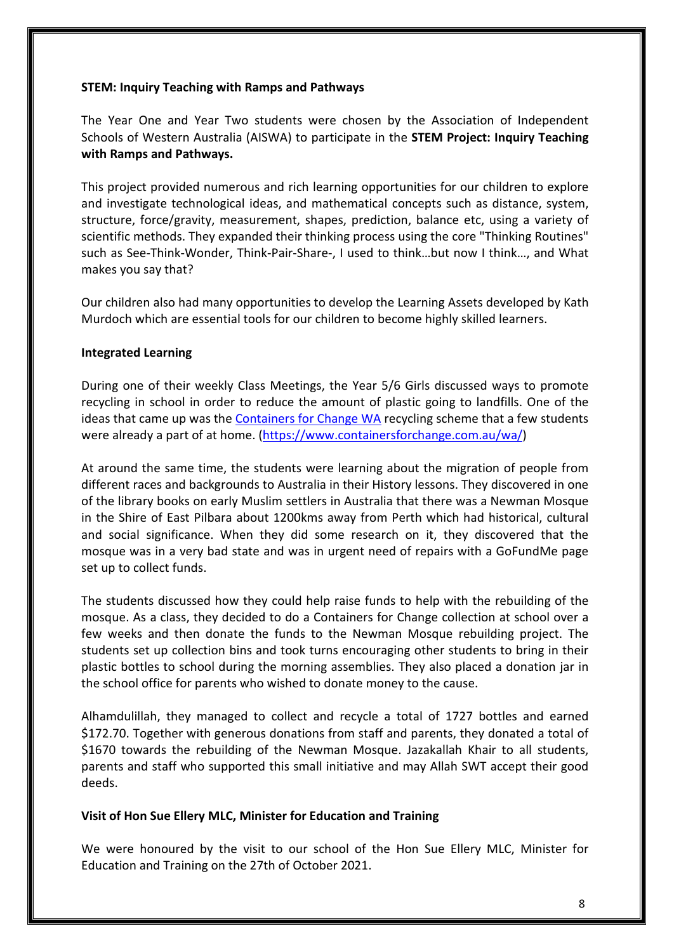## **STEM: Inquiry Teaching with Ramps and Pathways**

The Year One and Year Two students were chosen by the Association of Independent Schools of Western Australia (AISWA) to participate in the **STEM Project: Inquiry Teaching with Ramps and Pathways.** 

This project provided numerous and rich learning opportunities for our children to explore and investigate technological ideas, and mathematical concepts such as distance, system, structure, force/gravity, measurement, shapes, prediction, balance etc, using a variety of scientific methods. They expanded their thinking process using the core "Thinking Routines" such as See-Think-Wonder, Think-Pair-Share-, I used to think…but now I think…, and What makes you say that?

Our children also had many opportunities to develop the Learning Assets developed by Kath Murdoch which are essential tools for our children to become highly skilled learners.

### **Integrated Learning**

During one of their weekly Class Meetings, the Year 5/6 Girls discussed ways to promote recycling in school in order to reduce the amount of plastic going to landfills. One of the ideas that came up was the [Containers for Change WA](https://www.facebook.com/4ChangeWA/?__cft__%5b0%5d=AZXh5H-o8Fj-MWowNTLCwfsxQ2SmaMtcfCqzNsltS06h_mRC92WWzj6htyTybiZd8rs4zk05_-swymgvdm-t43lJo01PXpr5SUPM1znVWdJ20-4XrRXFIrzEGwJ55MBkq5Re3AFgUWx94hi94N7SYyPcgxzhJlT6SRrMwM893buMJv2tlkNdA2pdmbmR3tVPfZzgjt8D2d-GM79T_waDhCxr&__tn__=kK-R) recycling scheme that a few students were already a part of at home. [\(https://www.containersforchange.com.au/wa/\)](https://l.facebook.com/l.php?u=https%3A%2F%2Fwww.containersforchange.com.au%2Fwa%2F%3Ffbclid%3DIwAR0AKBn5cUlhyRPfTw4Z4KmkcuJY3ALlfJW5YP_3Rn15q6FAUtr-w1CyV78&h=AT1jWufIvKgW3HSfQ1jmAgdsxVL1CO0zDeIgtnnpsp1FAH9kTbzolZzRwP0zngpc8S651RCanREE_tXcBpsVkuU8chhZh_SZdV4asXyRIKZPDueHR_xpNxXqU514ZjJYRbKL4t7L7nb-k37g-1xC&__tn__=-UK-R&c%5b0%5d=AT1UJIDUDmVqMiSot-csLBUswa7YaZ77VBYuT3bgsFiKW86BYGU6Z5cINHqLXC0WSUrxOZwzrABaOU5FqXh8armZSLS3-5fdF9kcYDFoHn8xiZvtpRmhF8KOzQxx-eVpVj2umHjF87k1Z3PIgmbpZlIeN--NriX0_W634Y-bCkZvdOkkTqG-JK_AbWRWqtJUsnwnMEZ8SGPUmASGWgmvrJaLsUeP_wiVUw)

At around the same time, the students were learning about the migration of people from different races and backgrounds to Australia in their History lessons. They discovered in one of the library books on early Muslim settlers in Australia that there was a Newman Mosque in the Shire of East Pilbara about 1200kms away from Perth which had historical, cultural and social significance. When they did some research on it, they discovered that the mosque was in a very bad state and was in urgent need of repairs with a GoFundMe page set up to collect funds.

The students discussed how they could help raise funds to help with the rebuilding of the mosque. As a class, they decided to do a Containers for Change collection at school over a few weeks and then donate the funds to the Newman Mosque rebuilding project. The students set up collection bins and took turns encouraging other students to bring in their plastic bottles to school during the morning assemblies. They also placed a donation jar in the school office for parents who wished to donate money to the cause.

Alhamdulillah, they managed to collect and recycle a total of 1727 bottles and earned \$172.70. Together with generous donations from staff and parents, they donated a total of \$1670 towards the rebuilding of the Newman Mosque. Jazakallah Khair to all students, parents and staff who supported this small initiative and may Allah SWT accept their good deeds.

#### **Visit of Hon Sue Ellery MLC, Minister for Education and Training**

We were honoured by the visit to our school of the Hon Sue Ellery MLC, Minister for Education and Training on the 27th of October 2021.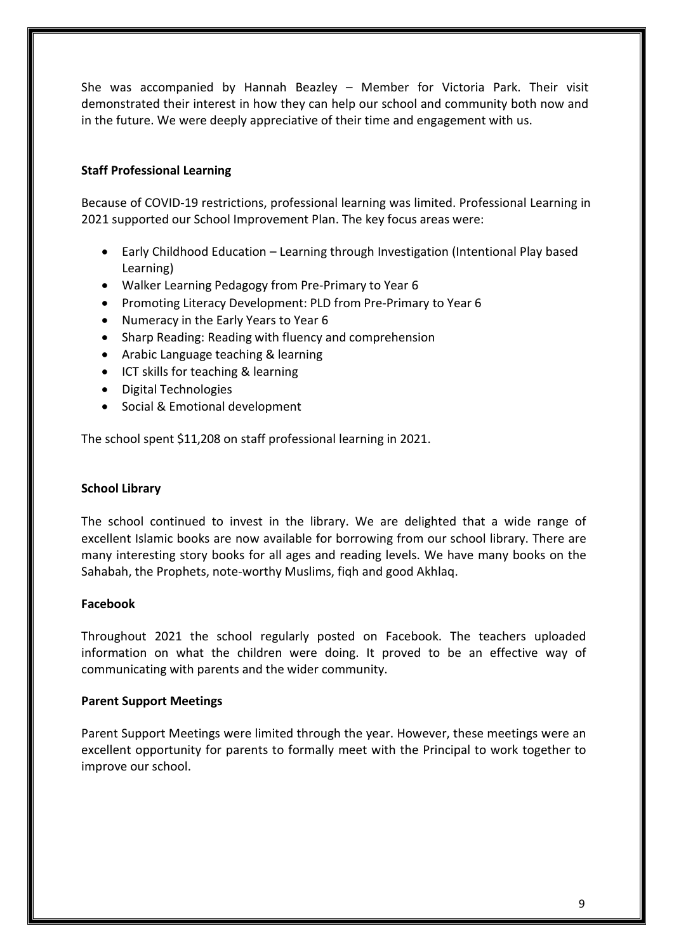She was accompanied by Hannah Beazley – Member for Victoria Park. Their visit demonstrated their interest in how they can help our school and community both now and in the future. We were deeply appreciative of their time and engagement with us.

## <span id="page-8-0"></span>**Staff Professional Learning**

Because of COVID-19 restrictions, professional learning was limited. Professional Learning in 2021 supported our School Improvement Plan. The key focus areas were:

- Early Childhood Education Learning through Investigation (Intentional Play based Learning)
- Walker Learning Pedagogy from Pre‐Primary to Year 6
- Promoting Literacy Development: PLD from Pre‐Primary to Year 6
- Numeracy in the Early Years to Year 6
- Sharp Reading: Reading with fluency and comprehension
- Arabic Language teaching & learning
- ICT skills for teaching & learning
- Digital Technologies
- Social & Emotional development

The school spent \$11,208 on staff professional learning in 2021.

## **School Library**

The school continued to invest in the library. We are delighted that a wide range of excellent Islamic books are now available for borrowing from our school library. There are many interesting story books for all ages and reading levels. We have many books on the Sahabah, the Prophets, note-worthy Muslims, fiqh and good Akhlaq.

## <span id="page-8-1"></span>**Facebook**

Throughout 2021 the school regularly posted on Facebook. The teachers uploaded information on what the children were doing. It proved to be an effective way of communicating with parents and the wider community.

#### <span id="page-8-2"></span>**Parent Support Meetings**

Parent Support Meetings were limited through the year. However, these meetings were an excellent opportunity for parents to formally meet with the Principal to work together to improve our school.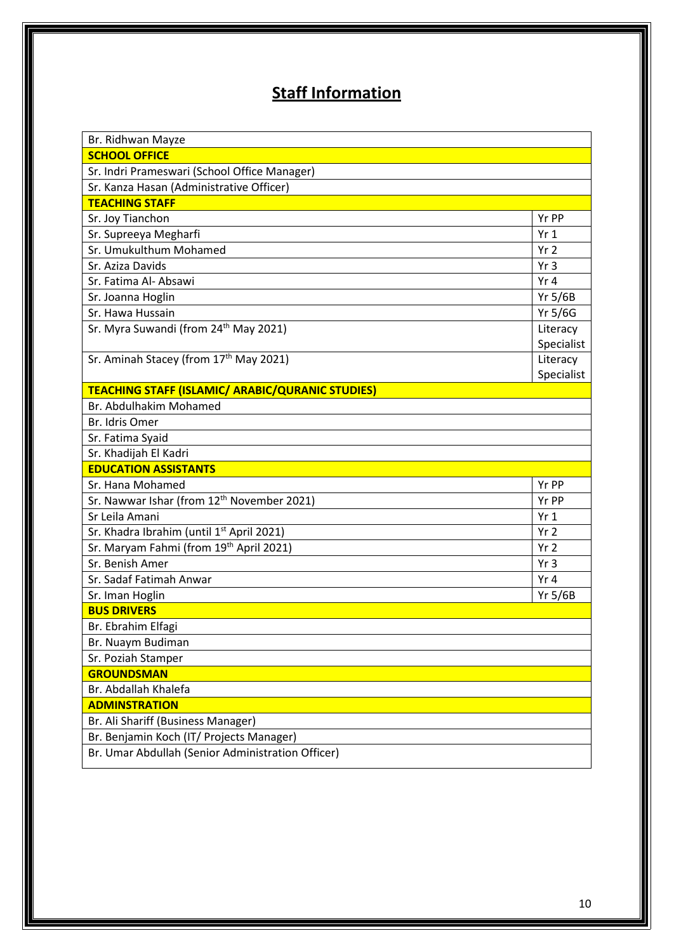# **Staff Information**

| Br. Ridhwan Mayze                                       |                 |
|---------------------------------------------------------|-----------------|
| <b>SCHOOL OFFICE</b>                                    |                 |
| Sr. Indri Prameswari (School Office Manager)            |                 |
| Sr. Kanza Hasan (Administrative Officer)                |                 |
| <b>TEACHING STAFF</b>                                   |                 |
| Sr. Joy Tianchon                                        | Yr PP           |
| Sr. Supreeya Megharfi                                   | Yr <sub>1</sub> |
| Sr. Umukulthum Mohamed                                  | Yr <sub>2</sub> |
| Sr. Aziza Davids                                        | Yr3             |
| Sr. Fatima Al- Absawi                                   | Yr4             |
| Sr. Joanna Hoglin                                       | $Yr$ 5/6B       |
| Sr. Hawa Hussain                                        | Yr 5/6G         |
| Sr. Myra Suwandi (from 24th May 2021)                   | Literacy        |
|                                                         | Specialist      |
| Sr. Aminah Stacey (from 17th May 2021)                  | Literacy        |
|                                                         | Specialist      |
| <b>TEACHING STAFF (ISLAMIC/ ARABIC/QURANIC STUDIES)</b> |                 |
| Br. Abdulhakim Mohamed                                  |                 |
| Br. Idris Omer                                          |                 |
| Sr. Fatima Syaid                                        |                 |
| Sr. Khadijah El Kadri                                   |                 |
| <b>EDUCATION ASSISTANTS</b>                             |                 |
| Sr. Hana Mohamed                                        | Yr PP           |
| Sr. Nawwar Ishar (from 12 <sup>th</sup> November 2021)  | Yr PP           |
| Sr Leila Amani                                          | Yr1             |
| Sr. Khadra Ibrahim (until 1st April 2021)               | Yr <sub>2</sub> |
| Sr. Maryam Fahmi (from 19th April 2021)                 | Yr <sub>2</sub> |
| Sr. Benish Amer                                         | Yr3             |
| Sr. Sadaf Fatimah Anwar                                 | Yr 4            |
| Sr. Iman Hoglin                                         | <b>Yr 5/6B</b>  |
| <b>BUS DRIVERS</b>                                      |                 |
| Br. Ebrahim Elfagi                                      |                 |
| Br. Nuaym Budiman                                       |                 |
| Sr. Poziah Stamper                                      |                 |
| <b>GROUNDSMAN</b>                                       |                 |
| Br. Abdallah Khalefa                                    |                 |
| <b>ADMINSTRATION</b>                                    |                 |
| Br. Ali Shariff (Business Manager)                      |                 |
| Br. Benjamin Koch (IT/ Projects Manager)                |                 |
| Br. Umar Abdullah (Senior Administration Officer)       |                 |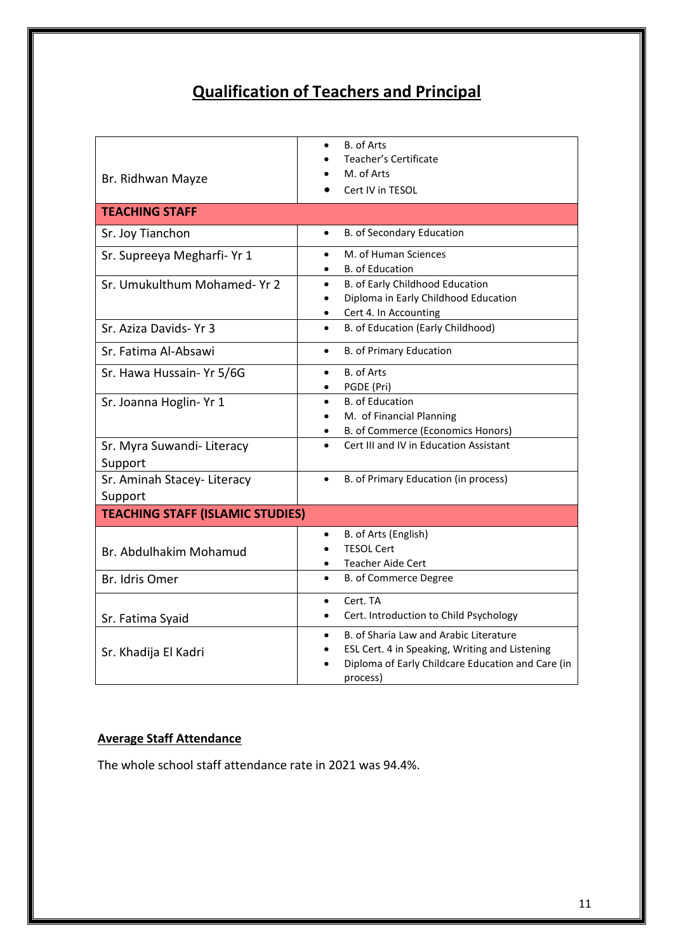# **Qualification of Teachers and Principal**

<span id="page-10-0"></span>

|                                         | B. of Arts                                                    |
|-----------------------------------------|---------------------------------------------------------------|
|                                         | Teacher's Certificate                                         |
| Br. Ridhwan Mayze                       | M. of Arts                                                    |
|                                         | Cert IV in TESOL                                              |
| <b>TEACHING STAFF</b>                   |                                                               |
| Sr. Joy Tianchon                        | B. of Secondary Education<br>$\bullet$                        |
| Sr. Supreeya Megharfi- Yr 1             | M. of Human Sciences                                          |
|                                         | <b>B.</b> of Education                                        |
| Sr. Umukulthum Mohamed- Yr 2            | B. of Early Childhood Education                               |
|                                         | Diploma in Early Childhood Education                          |
|                                         | Cert 4. In Accounting                                         |
| Sr. Aziza Davids- Yr 3                  | B. of Education (Early Childhood)                             |
| Sr. Fatima Al-Absawi                    | <b>B. of Primary Education</b><br>$\bullet$                   |
| Sr. Hawa Hussain- Yr 5/6G               | <b>B.</b> of Arts                                             |
|                                         | PGDE (Pri)                                                    |
| Sr. Joanna Hoglin- Yr 1                 | <b>B.</b> of Education<br>$\bullet$                           |
|                                         | M. of Financial Planning                                      |
|                                         | B. of Commerce (Economics Honors)                             |
| Sr. Myra Suwandi- Literacy              | Cert III and IV in Education Assistant<br>$\bullet$           |
| Support                                 |                                                               |
| Sr. Aminah Stacey-Literacy              | B. of Primary Education (in process)<br>$\bullet$             |
| Support                                 |                                                               |
| <b>TEACHING STAFF (ISLAMIC STUDIES)</b> |                                                               |
|                                         | B. of Arts (English)<br>$\bullet$                             |
| Br. Abdulhakim Mohamud                  | <b>TESOL Cert</b>                                             |
|                                         | <b>Teacher Aide Cert</b>                                      |
| Br. Idris Omer                          | B. of Commerce Degree<br>$\bullet$                            |
|                                         |                                                               |
|                                         | Cert. TA                                                      |
| Sr. Fatima Syaid                        | Cert. Introduction to Child Psychology                        |
|                                         | B. of Sharia Law and Arabic Literature<br>$\bullet$           |
| Sr. Khadija El Kadri                    | ESL Cert. 4 in Speaking, Writing and Listening                |
|                                         | Diploma of Early Childcare Education and Care (in<br>process) |

## **Average Staff Attendance**

The whole school staff attendance rate in 2021 was 94.4%.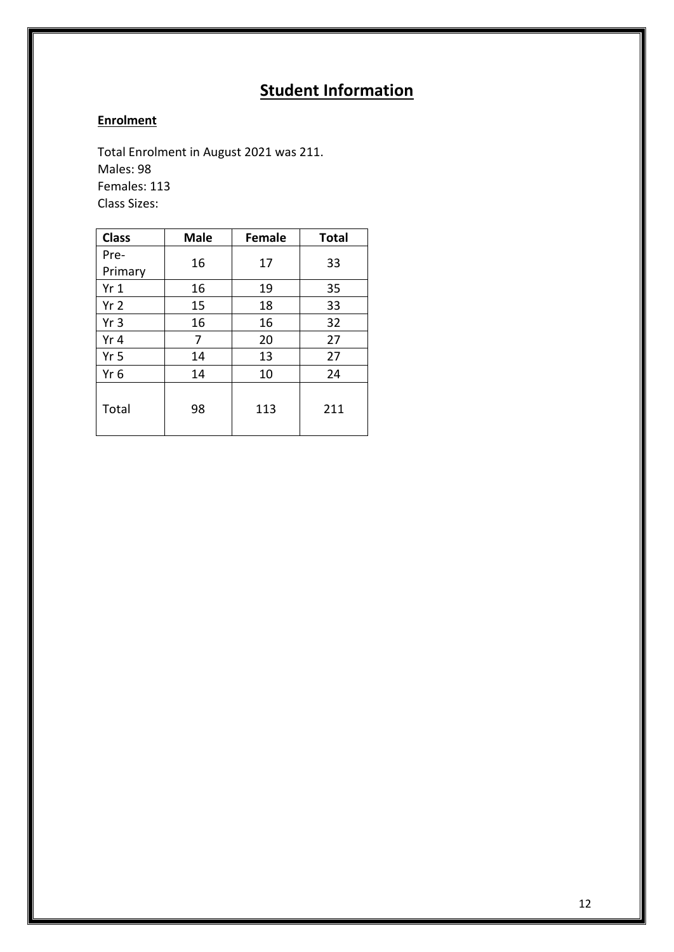# **Student Information**

# <span id="page-11-1"></span><span id="page-11-0"></span>**Enrolment**

Total Enrolment in August 2021 was 211. Males: 98 Females: 113 Class Sizes:

| <b>Class</b>    | <b>Male</b> | <b>Female</b> | <b>Total</b> |
|-----------------|-------------|---------------|--------------|
| Pre-            | 16          | 17            | 33           |
| Primary         |             |               |              |
| Yr1             | 16          | 19            | 35           |
| Yr <sub>2</sub> | 15          | 18            | 33           |
| Yr <sub>3</sub> | 16          | 16            | 32           |
| Yr <sub>4</sub> | 7           | 20            | 27           |
| Yr <sub>5</sub> | 14          | 13            | 27           |
| Yr 6            | 14          | 10            | 24           |
| Total           | 98          | 113           | 211          |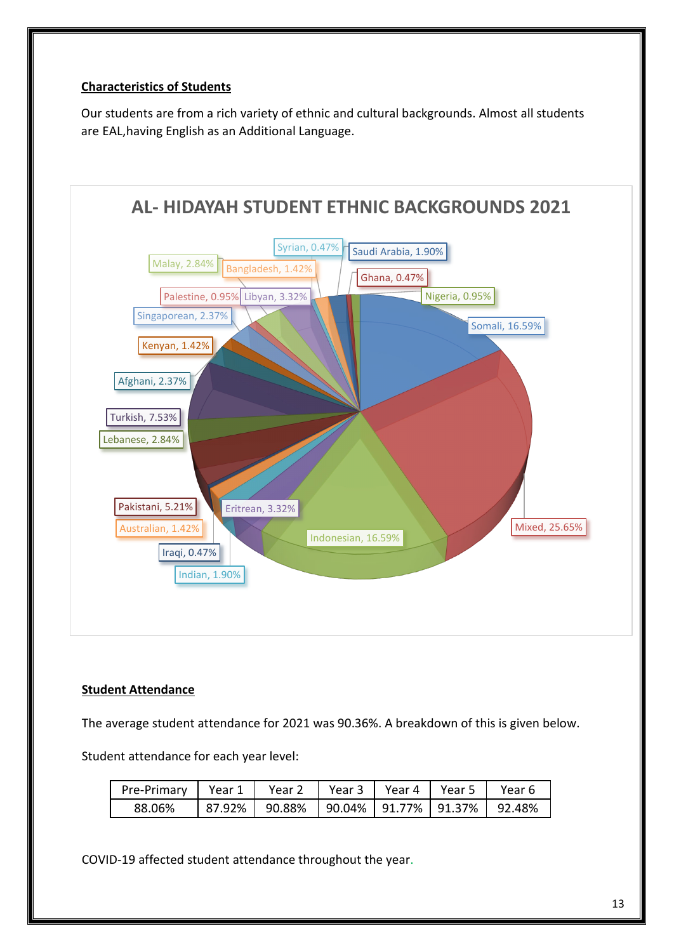## **Characteristics of Students**

Our students are from a rich variety of ethnic and cultural backgrounds. Almost all students are EAL,having English as an Additional Language.



## <span id="page-12-0"></span>**Student Attendance**

The average student attendance for 2021 was 90.36%. A breakdown of this is given below.

Student attendance for each year level:

| Pre-Primary   Year 1   Year 2   Year 3   Year 4   Year 5   Year 6 |                                                     |  |  |
|-------------------------------------------------------------------|-----------------------------------------------------|--|--|
| 88.06%                                                            | 87.92%   90.88%   90.04%   91.77%   91.37%   92.48% |  |  |

COVID-19 affected student attendance throughout the year.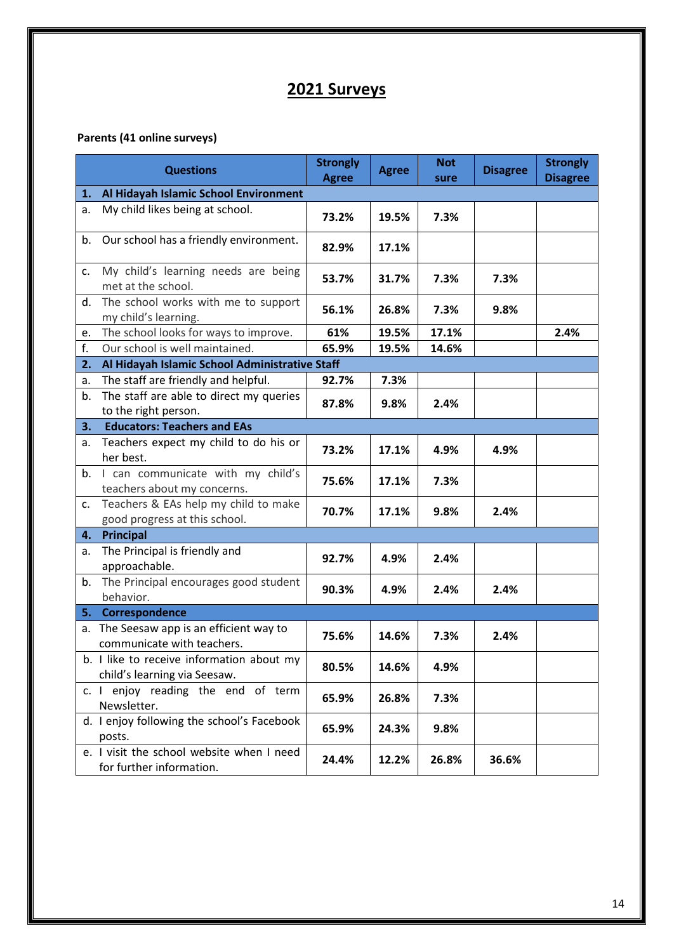# **2021 Surveys**

# **Parents (41 online surveys)**

|               | <b>Questions</b>                                                          | <b>Strongly</b><br><b>Agree</b> | <b>Agree</b> | <b>Not</b><br>sure | <b>Disagree</b> | <b>Strongly</b><br><b>Disagree</b> |  |  |
|---------------|---------------------------------------------------------------------------|---------------------------------|--------------|--------------------|-----------------|------------------------------------|--|--|
| 1.            | Al Hidayah Islamic School Environment                                     |                                 |              |                    |                 |                                    |  |  |
| a.            | My child likes being at school.                                           | 73.2%                           | 19.5%        | 7.3%               |                 |                                    |  |  |
| b.            | Our school has a friendly environment.                                    | 82.9%                           | 17.1%        |                    |                 |                                    |  |  |
| c.            | My child's learning needs are being<br>met at the school.                 | 53.7%                           | 31.7%        | 7.3%               | 7.3%            |                                    |  |  |
| d.            | The school works with me to support<br>my child's learning.               | 56.1%                           | 26.8%        | 7.3%               | 9.8%            |                                    |  |  |
| e.            | The school looks for ways to improve.                                     | 61%                             | 19.5%        | 17.1%              |                 | 2.4%                               |  |  |
| f.            | Our school is well maintained.                                            | 65.9%                           | 19.5%        | 14.6%              |                 |                                    |  |  |
| 2.            | Al Hidayah Islamic School Administrative Staff                            |                                 |              |                    |                 |                                    |  |  |
| а.            | The staff are friendly and helpful.                                       | 92.7%                           | 7.3%         |                    |                 |                                    |  |  |
| b.            | The staff are able to direct my queries<br>to the right person.           | 87.8%                           | 9.8%         | 2.4%               |                 |                                    |  |  |
| 3.            | <b>Educators: Teachers and EAs</b>                                        |                                 |              |                    |                 |                                    |  |  |
| a.            | Teachers expect my child to do his or<br>her best.                        | 73.2%                           | 17.1%        | 4.9%               | 4.9%            |                                    |  |  |
| b.            | I can communicate with my child's<br>teachers about my concerns.          | 75.6%                           | 17.1%        | 7.3%               |                 |                                    |  |  |
| $C_{\star}$   | Teachers & EAs help my child to make<br>good progress at this school.     | 70.7%                           | 17.1%        | 9.8%               | 2.4%            |                                    |  |  |
| 4.            | Principal                                                                 |                                 |              |                    |                 |                                    |  |  |
| a.            | The Principal is friendly and<br>approachable.                            | 92.7%                           | 4.9%         | 2.4%               |                 |                                    |  |  |
| b.            | The Principal encourages good student<br>behavior.                        | 90.3%                           | 4.9%         | 2.4%               | 2.4%            |                                    |  |  |
| 5.            | Correspondence                                                            |                                 |              |                    |                 |                                    |  |  |
| a.            | The Seesaw app is an efficient way to<br>communicate with teachers.       | 75.6%                           | 14.6%        | 7.3%               | 2.4%            |                                    |  |  |
|               | b. I like to receive information about my<br>child's learning via Seesaw. | 80.5%                           | 14.6%        | 4.9%               |                 |                                    |  |  |
| $c.$ $\vdots$ | enjoy reading the end of term<br>Newsletter.                              | 65.9%                           | 26.8%        | 7.3%               |                 |                                    |  |  |
|               | d. I enjoy following the school's Facebook<br>posts.                      | 65.9%                           | 24.3%        | 9.8%               |                 |                                    |  |  |
|               | e. I visit the school website when I need<br>for further information.     | 24.4%                           | 12.2%        | 26.8%              | 36.6%           |                                    |  |  |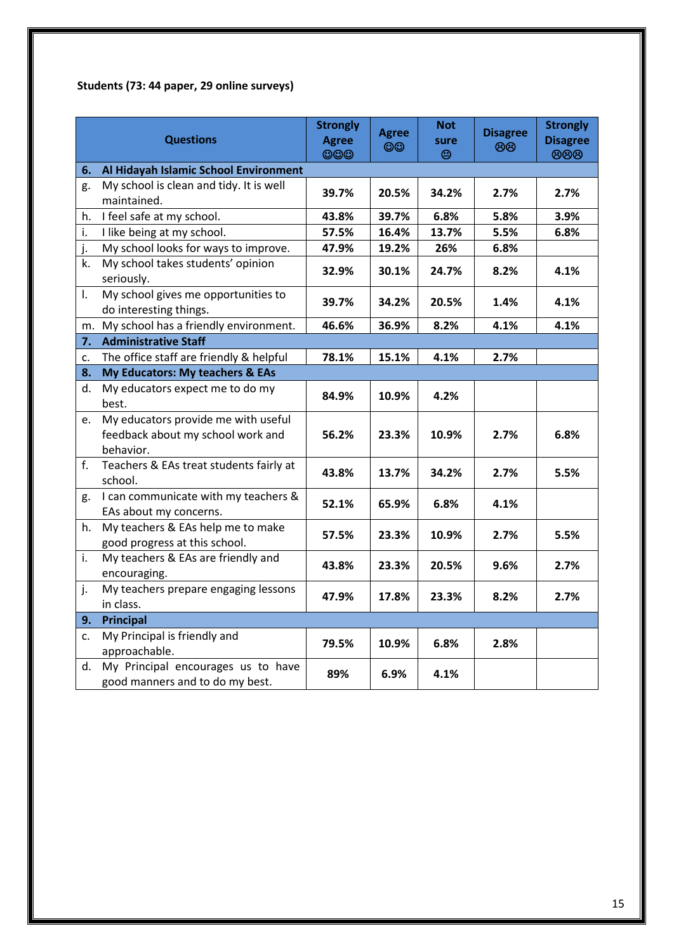# **Students (73: 44 paper, 29 online surveys)**

|                                             | <b>Questions</b>                                                                      | <b>Strongly</b><br><b>Agree</b><br>$\circledcirc$ | <b>Agree</b><br>$\odot$ | <b>Not</b><br>sure<br>⊜ | <b>Disagree</b><br>මග | <b>Strongly</b><br><b>Disagree</b><br>888 |
|---------------------------------------------|---------------------------------------------------------------------------------------|---------------------------------------------------|-------------------------|-------------------------|-----------------------|-------------------------------------------|
| Al Hidayah Islamic School Environment<br>6. |                                                                                       |                                                   |                         |                         |                       |                                           |
| g.                                          | My school is clean and tidy. It is well<br>maintained.                                | 39.7%                                             | 20.5%                   | 34.2%                   | 2.7%                  | 2.7%                                      |
| h.                                          | I feel safe at my school.                                                             | 43.8%                                             | 39.7%                   | 6.8%                    | 5.8%                  | 3.9%                                      |
| i.                                          | I like being at my school.                                                            | 57.5%                                             | 16.4%                   | 13.7%                   | 5.5%                  | 6.8%                                      |
| j.                                          | My school looks for ways to improve.                                                  | 47.9%                                             | 19.2%                   | 26%                     | 6.8%                  |                                           |
| k.                                          | My school takes students' opinion<br>seriously.                                       | 32.9%                                             | 30.1%                   | 24.7%                   | 8.2%                  | 4.1%                                      |
| I.                                          | My school gives me opportunities to<br>do interesting things.                         | 39.7%                                             | 34.2%                   | 20.5%                   | 1.4%                  | 4.1%                                      |
| m.                                          | My school has a friendly environment.                                                 | 46.6%                                             | 36.9%                   | 8.2%                    | 4.1%                  | 4.1%                                      |
| 7.                                          | <b>Administrative Staff</b>                                                           |                                                   |                         |                         |                       |                                           |
| c.                                          | The office staff are friendly & helpful                                               | 78.1%                                             | 15.1%                   | 4.1%                    | 2.7%                  |                                           |
| 8.                                          | My Educators: My teachers & EAs                                                       |                                                   |                         |                         |                       |                                           |
| d.                                          | My educators expect me to do my<br>best.                                              | 84.9%                                             | 10.9%                   | 4.2%                    |                       |                                           |
| e.                                          | My educators provide me with useful<br>feedback about my school work and<br>behavior. | 56.2%                                             | 23.3%                   | 10.9%                   | 2.7%                  | 6.8%                                      |
| f.                                          | Teachers & EAs treat students fairly at<br>school.                                    | 43.8%                                             | 13.7%                   | 34.2%                   | 2.7%                  | 5.5%                                      |
| g.                                          | I can communicate with my teachers &<br>EAs about my concerns.                        | 52.1%                                             | 65.9%                   | 6.8%                    | 4.1%                  |                                           |
| h.                                          | My teachers & EAs help me to make<br>good progress at this school.                    | 57.5%                                             | 23.3%                   | 10.9%                   | 2.7%                  | 5.5%                                      |
| i.                                          | My teachers & EAs are friendly and<br>encouraging.                                    | 43.8%                                             | 23.3%                   | 20.5%                   | 9.6%                  | 2.7%                                      |
| j.                                          | My teachers prepare engaging lessons<br>in class.                                     | 47.9%                                             | 17.8%                   | 23.3%                   | 8.2%                  | 2.7%                                      |
| 9.                                          | <b>Principal</b>                                                                      |                                                   |                         |                         |                       |                                           |
| c.                                          | My Principal is friendly and<br>approachable.                                         | 79.5%                                             | 10.9%                   | 6.8%                    | 2.8%                  |                                           |
| d.                                          | My Principal encourages us to have<br>good manners and to do my best.                 | 89%                                               | 6.9%                    | 4.1%                    |                       |                                           |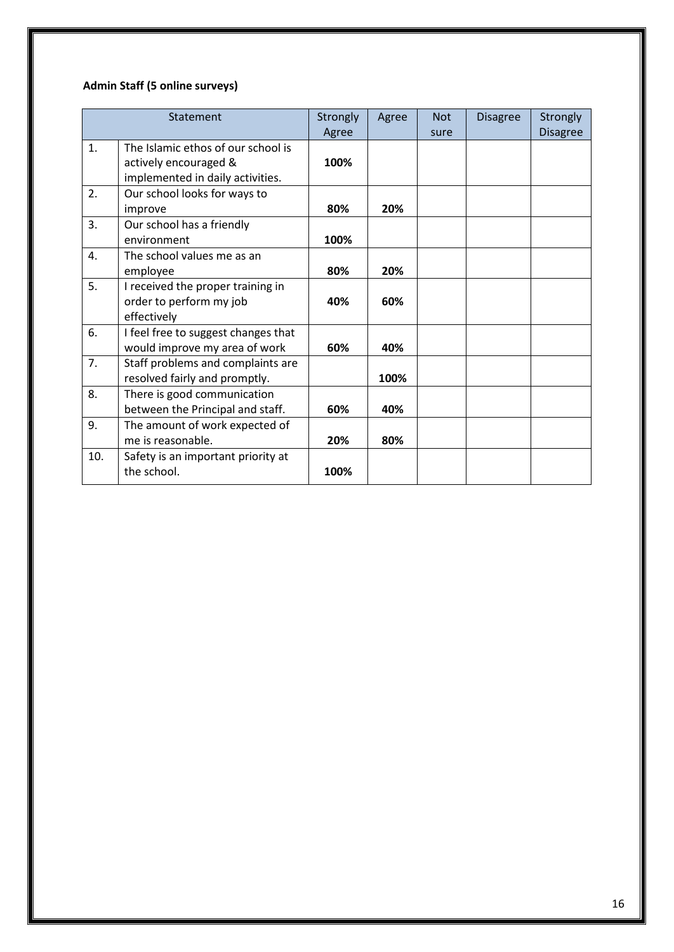# **Admin Staff (5 online surveys)**

|                | Statement                                                                                       | Strongly<br>Agree | Agree | <b>Not</b><br>sure | <b>Disagree</b> | Strongly<br><b>Disagree</b> |
|----------------|-------------------------------------------------------------------------------------------------|-------------------|-------|--------------------|-----------------|-----------------------------|
| $\mathbf{1}$ . | The Islamic ethos of our school is<br>actively encouraged &<br>implemented in daily activities. | 100%              |       |                    |                 |                             |
| 2.             | Our school looks for ways to<br>improve                                                         | 80%               | 20%   |                    |                 |                             |
| 3.             | Our school has a friendly<br>environment                                                        | 100%              |       |                    |                 |                             |
| 4.             | The school values me as an<br>employee                                                          | 80%               | 20%   |                    |                 |                             |
| 5.             | I received the proper training in<br>order to perform my job<br>effectively                     | 40%               | 60%   |                    |                 |                             |
| 6.             | I feel free to suggest changes that<br>would improve my area of work                            | 60%               | 40%   |                    |                 |                             |
| 7.             | Staff problems and complaints are<br>resolved fairly and promptly.                              |                   | 100%  |                    |                 |                             |
| 8.             | There is good communication<br>between the Principal and staff.                                 | 60%               | 40%   |                    |                 |                             |
| 9.             | The amount of work expected of<br>me is reasonable.                                             | 20%               | 80%   |                    |                 |                             |
| 10.            | Safety is an important priority at<br>the school.                                               | 100%              |       |                    |                 |                             |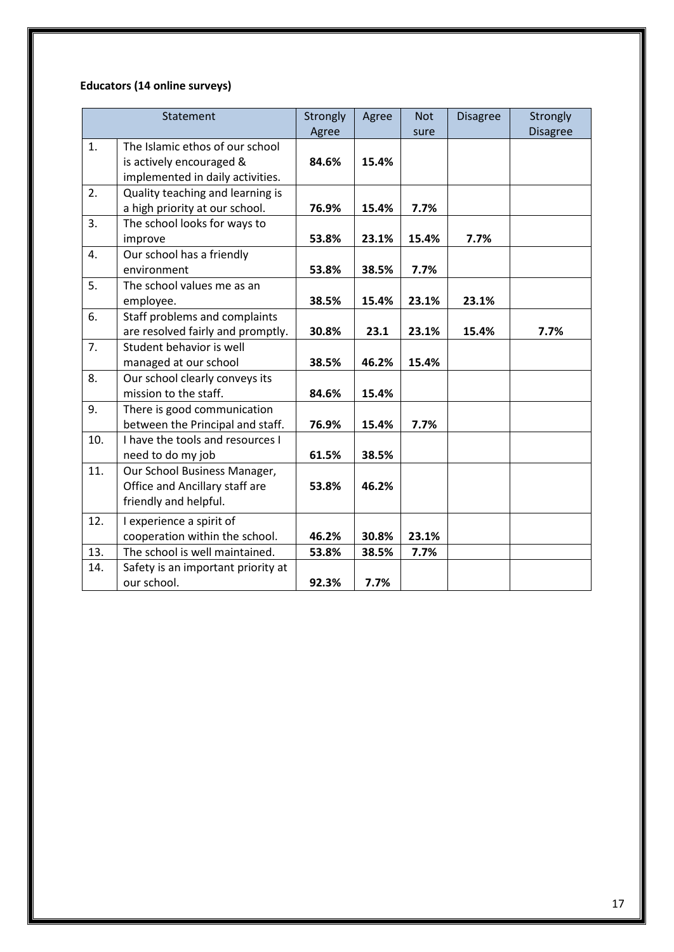# **Educators (14 online surveys)**

|     | Statement                          | Strongly | Agree | <b>Not</b> | <b>Disagree</b> | Strongly        |
|-----|------------------------------------|----------|-------|------------|-----------------|-----------------|
|     |                                    | Agree    |       | sure       |                 | <b>Disagree</b> |
| 1.  | The Islamic ethos of our school    |          |       |            |                 |                 |
|     | is actively encouraged &           | 84.6%    | 15.4% |            |                 |                 |
|     | implemented in daily activities.   |          |       |            |                 |                 |
| 2.  | Quality teaching and learning is   |          |       |            |                 |                 |
|     | a high priority at our school.     | 76.9%    | 15.4% | 7.7%       |                 |                 |
| 3.  | The school looks for ways to       |          |       |            |                 |                 |
|     | improve                            | 53.8%    | 23.1% | 15.4%      | 7.7%            |                 |
| 4.  | Our school has a friendly          |          |       |            |                 |                 |
|     | environment                        | 53.8%    | 38.5% | 7.7%       |                 |                 |
| 5.  | The school values me as an         |          |       |            |                 |                 |
|     | employee.                          | 38.5%    | 15.4% | 23.1%      | 23.1%           |                 |
| 6.  | Staff problems and complaints      |          |       |            |                 |                 |
|     | are resolved fairly and promptly.  | 30.8%    | 23.1  | 23.1%      | 15.4%           | 7.7%            |
| 7.  | Student behavior is well           |          |       |            |                 |                 |
|     | managed at our school              | 38.5%    | 46.2% | 15.4%      |                 |                 |
| 8.  | Our school clearly conveys its     |          |       |            |                 |                 |
|     | mission to the staff.              | 84.6%    | 15.4% |            |                 |                 |
| 9.  | There is good communication        |          |       |            |                 |                 |
|     | between the Principal and staff.   | 76.9%    | 15.4% | 7.7%       |                 |                 |
| 10. | I have the tools and resources I   |          |       |            |                 |                 |
|     | need to do my job                  | 61.5%    | 38.5% |            |                 |                 |
| 11. | Our School Business Manager,       |          |       |            |                 |                 |
|     | Office and Ancillary staff are     | 53.8%    | 46.2% |            |                 |                 |
|     | friendly and helpful.              |          |       |            |                 |                 |
| 12. | I experience a spirit of           |          |       |            |                 |                 |
|     | cooperation within the school.     | 46.2%    | 30.8% | 23.1%      |                 |                 |
| 13. | The school is well maintained.     | 53.8%    | 38.5% | 7.7%       |                 |                 |
| 14. | Safety is an important priority at |          |       |            |                 |                 |
|     | our school.                        | 92.3%    | 7.7%  |            |                 |                 |